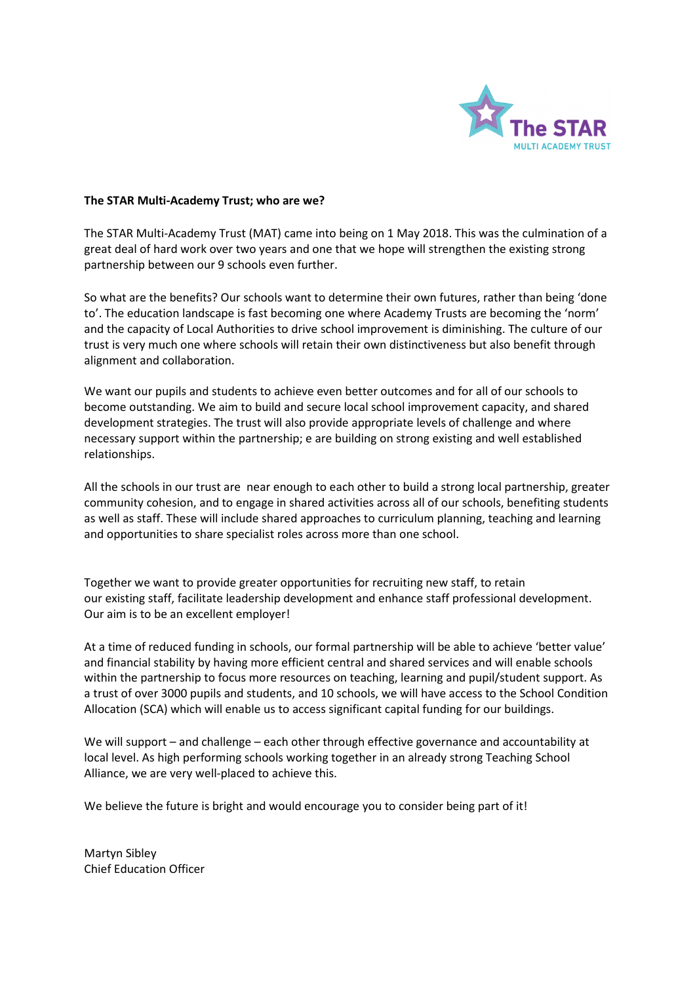

#### The STAR Multi-Academy Trust; who are we?

The STAR Multi-Academy Trust (MAT) came into being on 1 May 2018. This was the culmination of a great deal of hard work over two years and one that we hope will strengthen the existing strong partnership between our 9 schools even further.

So what are the benefits? Our schools want to determine their own futures, rather than being 'done to'. The education landscape is fast becoming one where Academy Trusts are becoming the 'norm' and the capacity of Local Authorities to drive school improvement is diminishing. The culture of our trust is very much one where schools will retain their own distinctiveness but also benefit through alignment and collaboration.

We want our pupils and students to achieve even better outcomes and for all of our schools to become outstanding. We aim to build and secure local school improvement capacity, and shared development strategies. The trust will also provide appropriate levels of challenge and where necessary support within the partnership; e are building on strong existing and well established relationships.

All the schools in our trust are near enough to each other to build a strong local partnership, greater community cohesion, and to engage in shared activities across all of our schools, benefiting students as well as staff. These will include shared approaches to curriculum planning, teaching and learning and opportunities to share specialist roles across more than one school.

Together we want to provide greater opportunities for recruiting new staff, to retain our existing staff, facilitate leadership development and enhance staff professional development. Our aim is to be an excellent employer!

At a time of reduced funding in schools, our formal partnership will be able to achieve 'better value' and financial stability by having more efficient central and shared services and will enable schools within the partnership to focus more resources on teaching, learning and pupil/student support. As a trust of over 3000 pupils and students, and 10 schools, we will have access to the School Condition Allocation (SCA) which will enable us to access significant capital funding for our buildings.

We will support – and challenge – each other through effective governance and accountability at local level. As high performing schools working together in an already strong Teaching School Alliance, we are very well-placed to achieve this.

We believe the future is bright and would encourage you to consider being part of it!

Martyn Sibley Chief Education Officer